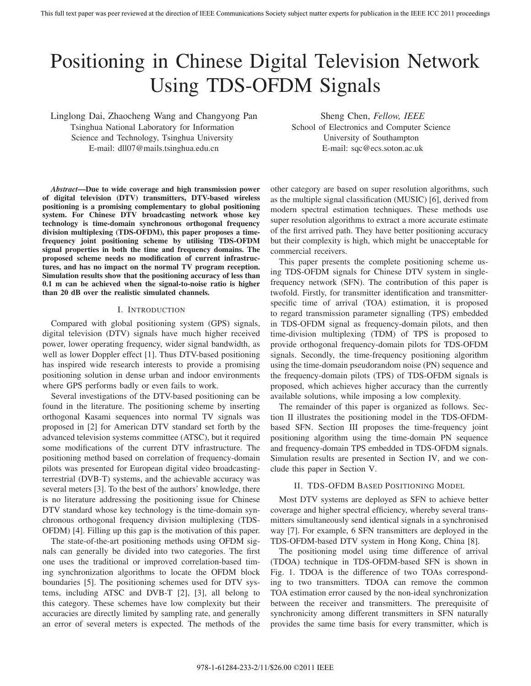# Positioning in Chinese Digital Television Network Using TDS-OFDM Signals

Linglong Dai, Zhaocheng Wang and Changyong Pan Tsinghua National Laboratory for Information Science and Technology, Tsinghua University E-mail: dll07@mails.tsinghua.edu.cn

Sheng Chen, *Fellow, IEEE*

School of Electronics and Computer Science University of Southampton E-mail: sqc@ecs.soton.ac.uk

*Abstract***—Due to wide coverage and high transmission power of digital television (DTV) transmitters, DTV-based wireless positioning is a promising complementary to global positioning system. For Chinese DTV broadcasting network whose key technology is time-domain synchronous orthogonal frequency division multiplexing (TDS-OFDM), this paper proposes a timefrequency joint positioning scheme by utilising TDS-OFDM signal properties in both the time and frequency domains. The proposed scheme needs no modification of current infrastructures, and has no impact on the normal TV program reception. Simulation results show that the positioning accuracy of less than 0.1 m can be achieved when the signal-to-noise ratio is higher than 20 dB over the realistic simulated channels.**

# I. INTRODUCTION

Compared with global positioning system (GPS) signals, digital television (DTV) signals have much higher received power, lower operating frequency, wider signal bandwidth, as well as lower Doppler effect [1]. Thus DTV-based positioning has inspired wide research interests to provide a promising positioning solution in dense urban and indoor environments where GPS performs badly or even fails to work.

Several investigations of the DTV-based positioning can be found in the literature. The positioning scheme by inserting orthogonal Kasami sequences into normal TV signals was proposed in [2] for American DTV standard set forth by the advanced television systems committee (ATSC), but it required some modifications of the current DTV infrastructure. The positioning method based on correlation of frequency-domain pilots was presented for European digital video broadcastingterrestrial (DVB-T) systems, and the achievable accuracy was several meters [3]. To the best of the authors' knowledge, there is no literature addressing the positioning issue for Chinese DTV standard whose key technology is the time-domain synchronous orthogonal frequency division multiplexing (TDS-OFDM) [4]. Filling up this gap is the motivation of this paper.

The state-of-the-art positioning methods using OFDM signals can generally be divided into two categories. The first one uses the traditional or improved correlation-based timing synchronization algorithms to locate the OFDM block boundaries [5]. The positioning schemes used for DTV systems, including ATSC and DVB-T [2], [3], all belong to this category. These schemes have low complexity but their accuracies are directly limited by sampling rate, and generally an error of several meters is expected. The methods of the

other category are based on super resolution algorithms, such as the multiple signal classification (MUSIC) [6], derived from modern spectral estimation techniques. These methods use super resolution algorithms to extract a more accurate estimate of the first arrived path. They have better positioning accuracy but their complexity is high, which might be unacceptable for commercial receivers.

This paper presents the complete positioning scheme using TDS-OFDM signals for Chinese DTV system in singlefrequency network (SFN). The contribution of this paper is twofold. Firstly, for transmitter identification and transmitterspecific time of arrival (TOA) estimation, it is proposed to regard transmission parameter signalling (TPS) embedded in TDS-OFDM signal as frequency-domain pilots, and then time-division multiplexing (TDM) of TPS is proposed to provide orthogonal frequency-domain pilots for TDS-OFDM signals. Secondly, the time-frequency positioning algorithm using the time-domain pseudorandom noise (PN) sequence and the frequency-domain pilots (TPS) of TDS-OFDM signals is proposed, which achieves higher accuracy than the currently available solutions, while imposing a low complexity.

The remainder of this paper is organized as follows. Section II illustrates the positioning model in the TDS-OFDMbased SFN. Section III proposes the time-frequency joint positioning algorithm using the time-domain PN sequence and frequency-domain TPS embedded in TDS-OFDM signals. Simulation results are presented in Section IV, and we conclude this paper in Section V.

## II. TDS-OFDM BASED POSITIONING MODEL

Most DTV systems are deployed as SFN to achieve better coverage and higher spectral efficiency, whereby several transmitters simultaneously send identical signals in a synchronised way [7]. For example, 6 SFN transmitters are deployed in the TDS-OFDM-based DTV system in Hong Kong, China [8].

The positioning model using time difference of arrival (TDOA) technique in TDS-OFDM-based SFN is shown in Fig. 1. TDOA is the difference of two TOAs corresponding to two transmitters. TDOA can remove the common TOA estimation error caused by the non-ideal synchronization between the receiver and transmitters. The prerequisite of synchronicity among different transmitters in SFN naturally provides the same time basis for every transmitter, which is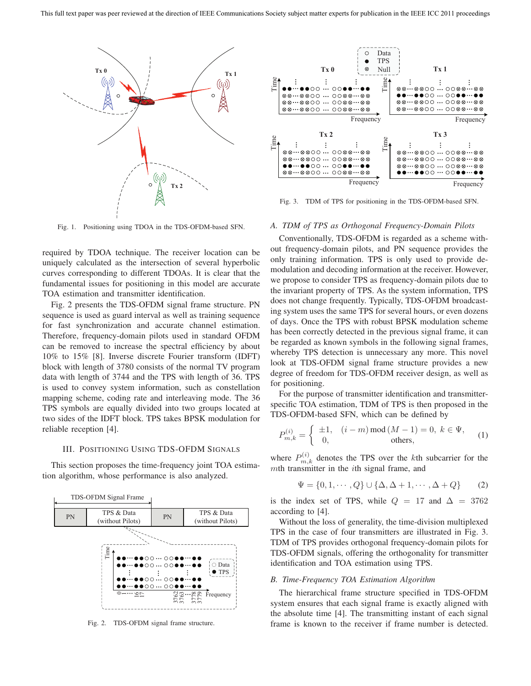

Fig. 1. Positioning using TDOA in the TDS-OFDM-based SFN.

required by TDOA technique. The receiver location can be uniquely calculated as the intersection of several hyperbolic curves corresponding to different TDOAs. It is clear that the fundamental issues for positioning in this model are accurate TOA estimation and transmitter identification.

Fig. 2 presents the TDS-OFDM signal frame structure. PN sequence is used as guard interval as well as training sequence for fast synchronization and accurate channel estimation. Therefore, frequency-domain pilots used in standard OFDM can be removed to increase the spectral efficiency by about 10% to 15% [8]. Inverse discrete Fourier transform (IDFT) block with length of 3780 consists of the normal TV program data with length of 3744 and the TPS with length of 36. TPS is used to convey system information, such as constellation mapping scheme, coding rate and interleaving mode. The 36 TPS symbols are equally divided into two groups located at two sides of the IDFT block. TPS takes BPSK modulation for reliable reception [4].

# III. POSITIONING USING TDS-OFDM SIGNALS

This section proposes the time-frequency joint TOA estimation algorithm, whose performance is also analyzed.



Fig. 2. TDS-OFDM signal frame structure.



Fig. 3. TDM of TPS for positioning in the TDS-OFDM-based SFN.

#### *A. TDM of TPS as Orthogonal Frequency-Domain Pilots*

Conventionally, TDS-OFDM is regarded as a scheme without frequency-domain pilots, and PN sequence provides the only training information. TPS is only used to provide demodulation and decoding information at the receiver. However, we propose to consider TPS as frequency-domain pilots due to the invariant property of TPS. As the system information, TPS does not change frequently. Typically, TDS-OFDM broadcasting system uses the same TPS for several hours, or even dozens of days. Once the TPS with robust BPSK modulation scheme has been correctly detected in the previous signal frame, it can be regarded as known symbols in the following signal frames, whereby TPS detection is unnecessary any more. This novel look at TDS-OFDM signal frame structure provides a new degree of freedom for TDS-OFDM receiver design, as well as for positioning.

For the purpose of transmitter identification and transmitterspecific TOA estimation, TDM of TPS is then proposed in the TDS-OFDM-based SFN, which can be defined by

$$
P_{m,k}^{(i)} = \begin{cases} \pm 1, & (i-m) \mod (M-1) = 0, \ k \in \Psi, \\ 0, & \text{others}, \end{cases}
$$
 (1)

where  $P_{m,k}^{(i)}$  denotes the TPS over the kth subcarrier for the mth transmitter in the *i*th signal frame, and

$$
\Psi = \{0, 1, \cdots, Q\} \cup \{\Delta, \Delta + 1, \cdots, \Delta + Q\} \tag{2}
$$

is the index set of TPS, while  $Q = 17$  and  $\Delta = 3762$ according to [4].

Without the loss of generality, the time-division multiplexed TPS in the case of four transmitters are illustrated in Fig. 3. TDM of TPS provides orthogonal frequency-domain pilots for TDS-OFDM signals, offering the orthogonality for transmitter identification and TOA estimation using TPS.

## *B. Time-Frequency TOA Estimation Algorithm*

The hierarchical frame structure specified in TDS-OFDM system ensures that each signal frame is exactly aligned with the absolute time [4]. The transmitting instant of each signal frame is known to the receiver if frame number is detected.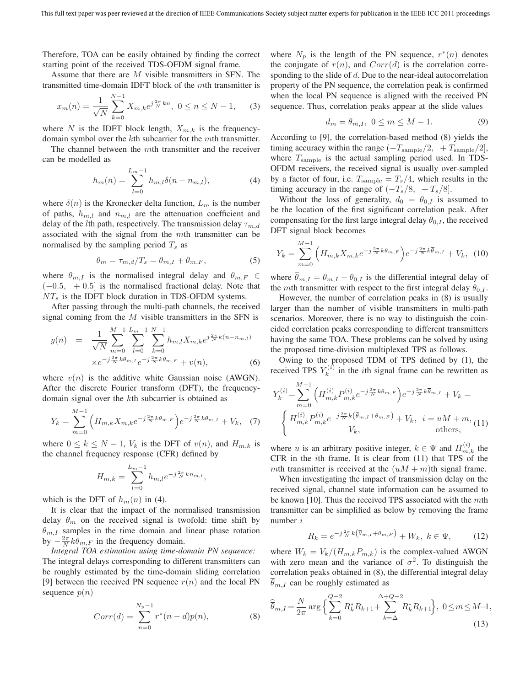Therefore, TOA can be easily obtained by finding the correct starting point of the received TDS-OFDM signal frame.

Assume that there are M visible transmitters in SFN. The transmitted time-domain IDFT block of the mth transmitter is

$$
x_m(n) = \frac{1}{\sqrt{N}} \sum_{k=0}^{N-1} X_{m,k} e^{j\frac{2\pi}{N}kn}, \ 0 \le n \le N-1,
$$
 (3)

where N is the IDFT block length,  $X_{m,k}$  is the frequencydomain symbol over the kth subcarrier for the mth transmitter.

The channel between the mth transmitter and the receiver can be modelled as

$$
h_m(n) = \sum_{l=0}^{L_m-1} h_{m,l} \delta(n - n_{m,l}),
$$
\n(4)

where  $\delta(n)$  is the Kronecker delta function,  $L_m$  is the number of paths,  $h_{m,l}$  and  $n_{m,l}$  are the attenuation coefficient and delay of the *l*th path, respectively. The transmission delay  $\tau_{m,d}$ associated with the signal from the mth transmitter can be normalised by the sampling period  $T_s$  as

$$
\theta_m = \tau_{m,d}/T_s = \theta_{m,I} + \theta_{m,F},\tag{5}
$$

where  $\theta_{m,I}$  is the normalised integral delay and  $\theta_{m,F} \in$  $(-0.5, +0.5]$  is the normalised fractional delay. Note that  $NT<sub>s</sub>$  is the IDFT block duration in TDS-OFDM systems.

After passing through the multi-path channels, the received signal coming from the  $M$  visible transmitters in the SFN is

$$
y(n) = \frac{1}{\sqrt{N}} \sum_{m=0}^{M-1} \sum_{l=0}^{L_m-1} \sum_{k=0}^{N-1} h_{m,l} X_{m,k} e^{j\frac{2\pi}{N}k(n-n_{m,l})}
$$

$$
\times e^{-j\frac{2\pi}{N}k\theta_{m,l}} e^{-j\frac{2\pi}{N}k\theta_{m,F}} + v(n), \qquad (6)
$$

where  $v(n)$  is the additive white Gaussian noise (AWGN). After the discrete Fourier transform (DFT), the frequencydomain signal over the kth subcarrier is obtained as

$$
Y_k = \sum_{m=0}^{M-1} \left( H_{m,k} X_{m,k} e^{-j\frac{2\pi}{N}k\theta_{m,F}} \right) e^{-j\frac{2\pi}{N}k\theta_{m,I}} + V_k, \quad (7)
$$

where  $0 \le k \le N - 1$ ,  $V_k$  is the DFT of  $v(n)$ , and  $H_{m,k}$  is the channel frequency response (CFR) defined by

$$
H_{m,k} = \sum_{l=0}^{L_m-1} h_{m,l} e^{-j\frac{2\pi}{N}kn_{m,l}},
$$

which is the DFT of  $h_m(n)$  in (4).

It is clear that the impact of the normalised transmission delay  $\theta_m$  on the received signal is twofold: time shift by  $\theta_{m,I}$  samples in the time domain and linear phase rotation by  $-\frac{2\pi}{N}k\theta_{m,F}$  in the frequency domain.

*Integral TOA estimation using time-domain PN sequence:* The integral delays corresponding to different transmitters can be roughly estimated by the time-domain sliding correlation [9] between the received PN sequence  $r(n)$  and the local PN sequence  $p(n)$ 

$$
Corr(d) = \sum_{n=0}^{N_p - 1} r^*(n - d)p(n),
$$
 (8)

where  $N_p$  is the length of the PN sequence,  $r^*(n)$  denotes the conjugate of  $r(n)$ , and  $Corr(d)$  is the correlation corresponding to the slide of  $d$ . Due to the near-ideal autocorrelation property of the PN sequence, the correlation peak is confirmed when the local PN sequence is aligned with the received PN sequence. Thus, correlation peaks appear at the slide values

$$
d_m = \theta_{m,I}, \ 0 \le m \le M - 1. \tag{9}
$$

According to [9], the correlation-based method (8) yields the timing accuracy within the range  $(-T_{\text{sample}}/2, +T_{\text{sample}}/2]$ , where  $T_{\text{sample}}$  is the actual sampling period used. In TDS-OFDM receivers, the received signal is usually over-sampled by a factor of four, i.e.  $T_{\text{sample}} = T_s/4$ , which results in the timing accuracy in the range of  $(-T_s/8, +T_s/8]$ .

Without the loss of generality,  $d_0 = \theta_{0,I}$  is assumed to be the location of the first significant correlation peak. After compensating for the first large integral delay  $\theta_{0,I}$ , the received DFT signal block becomes

$$
Y_k = \sum_{m=0}^{M-1} \left( H_{m,k} X_{m,k} e^{-j\frac{2\pi}{N}k\theta_{m,F}} \right) e^{-j\frac{2\pi}{N}k\overline{\theta}_{m,I}} + V_k, \tag{10}
$$

where  $\overline{\theta}_{m,I} = \theta_{m,I} - \theta_{0,I}$  is the differential integral delay of the *mth* transmitter with respect to the first integral delay  $\theta_{0,I}$ .

However, the number of correlation peaks in (8) is usually larger than the number of visible transmitters in multi-path scenarios. Moreover, there is no way to distinguish the coincided correlation peaks corresponding to different transmitters having the same TOA. These problems can be solved by using the proposed time-division multiplexed TPS as follows.

Owing to the proposed TDM of TPS defined by (1), the received TPS  $Y_k^{(i)}$  in the *i*th signal frame can be rewritten as

$$
Y_k^{(i)} = \sum_{m=0}^{M-1} \left( H_{m,k}^{(i)} P_{m,k}^{(i)} e^{-j\frac{2\pi}{N}k\theta_{m,F}} \right) e^{-j\frac{2\pi}{N}k\overline{\theta}_{m,I}} + V_k =
$$
  

$$
\begin{cases} H_{m,k}^{(i)} P_{m,k}^{(i)} e^{-j\frac{2\pi}{N}k(\overline{\theta}_{m,I} + \theta_{m,F})} + V_k, & i = uM + m, \\ V_k, & \text{others,} \end{cases}
$$
 (11)

where u is an arbitrary positive integer,  $k \in \Psi$  and  $H_{m,k}^{(i)}$  the CER in the *i*<sup>th</sup> frame. It is clear from (11) that TPS of the CFR in the ith frame. It is clear from (11) that TPS of the mth transmitter is received at the  $(uM + m)$ th signal frame.

When investigating the impact of transmission delay on the received signal, channel state information can be assumed to be known [10]. Thus the received TPS associated with the  $m$ th transmitter can be simplified as below by removing the frame number i

$$
R_k = e^{-j\frac{2\pi}{N}k\left(\overline{\theta}_{m,I} + \theta_{m,F}\right)} + W_k, \ k \in \Psi,
$$
 (12)

where  $W_k = V_k/(H_{m,k}P_{m,k})$  is the complex-valued AWGN with zero mean and the variance of  $\sigma^2$ . To distinguish the correlation peaks obtained in (8), the differential integral delay  $\theta_{m,I}$  can be roughly estimated as

$$
\widehat{\overline{\theta}}_{m,I} = \frac{N}{2\pi} \arg \Big\{ \sum_{k=0}^{Q-2} R_k^* R_{k+1} + \sum_{k=\Delta}^{\Delta+Q-2} R_k^* R_{k+1} \Big\}, \ 0 \le m \le M-1,
$$
\n(13)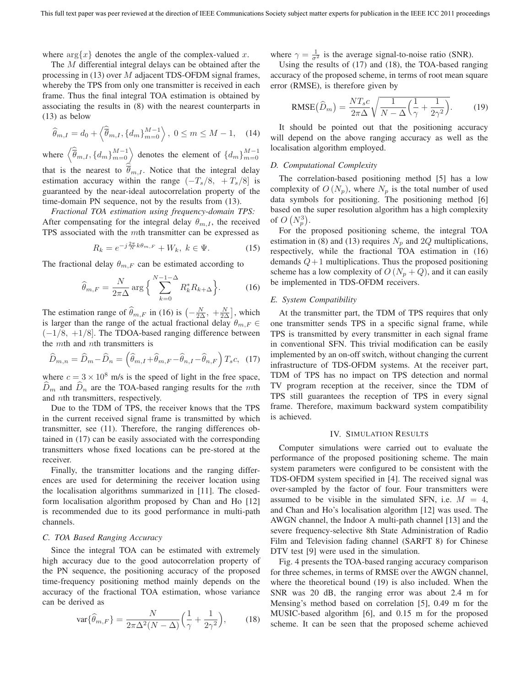where  $\arg\{x\}$  denotes the angle of the complex-valued x.

The M differential integral delays can be obtained after the processing in  $(13)$  over M adjacent TDS-OFDM signal frames, whereby the TPS from only one transmitter is received in each frame. Thus the final integral TOA estimation is obtained by associating the results in (8) with the nearest counterparts in (13) as below

$$
\widehat{\theta}_{m,I} = d_0 + \left\langle \widehat{\overline{\theta}}_{m,I}, \{d_m\}_{m=0}^{M-1} \right\rangle, \ 0 \le m \le M - 1, \quad (14)
$$

where  $\left\langle \widehat{\overline{\theta}}_{m,I}, \{d_m\}_{m=0}^{M-1} \right\rangle$  denotes the element of  $\{d_m\}_{m=0}^{M-1}$ that is the nearest to  $\bar{\theta}_{m,I}$ . Notice that the integral delay estimation accuracy within the range  $(-T_s/8, +T_s/8)$  is guaranteed by the near-ideal autocorrelation property of the time-domain PN sequence, not by the results from (13).

*Fractional TOA estimation using frequency-domain TPS:* After compensating for the integral delay  $\theta_{m,I}$ , the received TPS associated with the mth transmitter can be expressed as

$$
R_k = e^{-j\frac{2\pi}{N}k\theta_{m,F}} + W_k, \ k \in \Psi.
$$
 (15)

The fractional delay  $\theta_{m,F}$  can be estimated according to

$$
\widehat{\theta}_{m,F} = \frac{N}{2\pi\Delta} \arg\Big\{\sum_{k=0}^{N-1-\Delta} R_k^* R_{k+\Delta} \Big\}.
$$
 (16)

The estimation range of  $\hat{\theta}_{m,F}$  in (16) is  $\left(-\frac{N}{2\Delta}, +\frac{N}{2\Delta}\right]$ , which is larger than the range of the actual fractional delay  $\theta_{m,F} \in$ is larger than the range of the actual fractional delay  $\theta_{m,F}$  $(-1/8, +1/8]$ . The TDOA-based ranging difference between the *mth* and *nth* transmitters is

$$
\widehat{D}_{m,n} = \widehat{D}_m - \widehat{D}_n = \left(\widehat{\theta}_{m,I} + \widehat{\theta}_{m,F} - \widehat{\theta}_{n,I} - \widehat{\theta}_{n,F}\right)T_s c, \tag{17}
$$

where  $c = 3 \times 10^8$  m/s is the speed of light in the free space,  $\hat{D}_m$  and  $\hat{D}_n$  are the TOA-based ranging results for the mth and nth transmitters, respectively.

Due to the TDM of TPS, the receiver knows that the TPS in the current received signal frame is transmitted by which transmitter, see (11). Therefore, the ranging differences obtained in (17) can be easily associated with the corresponding transmitters whose fixed locations can be pre-stored at the receiver.

Finally, the transmitter locations and the ranging differences are used for determining the receiver location using the localisation algorithms summarized in [11]. The closedform localisation algorithm proposed by Chan and Ho [12] is recommended due to its good performance in multi-path channels.

## *C. TOA Based Ranging Accuracy*

Since the integral TOA can be estimated with extremely high accuracy due to the good autocorrelation property of the PN sequence, the positioning accuracy of the proposed time-frequency positioning method mainly depends on the accuracy of the fractional TOA estimation, whose variance can be derived as

$$
\text{var}\{\widehat{\theta}_{m,F}\} = \frac{N}{2\pi\Delta^2(N-\Delta)} \Big(\frac{1}{\gamma} + \frac{1}{2\gamma^2}\Big),\tag{18}
$$

where  $\gamma = \frac{1}{\sigma^2}$  is the average signal-to-noise ratio (SNR).<br>Using the results of (17) and (18) the TOA-based ran

Using the results of (17) and (18), the TOA-based ranging accuracy of the proposed scheme, in terms of root mean square error (RMSE), is therefore given by

RMSE
$$
(\widehat{D}_m)
$$
 =  $\frac{NT_s c}{2\pi\Delta} \sqrt{\frac{1}{N-\Delta} \left(\frac{1}{\gamma} + \frac{1}{2\gamma^2}\right)}$ . (19)

It should be pointed out that the positioning accuracy will depend on the above ranging accuracy as well as the localisation algorithm employed.

#### *D. Computational Complexity*

The correlation-based positioning method [5] has a low complexity of  $O(N_p)$ , where  $N_p$  is the total number of used data symbols for positioning. The positioning method [6] based on the super resolution algorithm has a high complexity of  $O(N_n^3)$ .

For the proposed positioning scheme, the integral TOA estimation in (8) and (13) requires  $N_p$  and 2Q multiplications, respectively, while the fractional TOA estimation in (16) demands  $Q+1$  multiplications. Thus the proposed positioning scheme has a low complexity of  $O(N_p + Q)$ , and it can easily be implemented in TDS-OFDM receivers.

# *E. System Compatibility*

At the transmitter part, the TDM of TPS requires that only one transmitter sends TPS in a specific signal frame, while TPS is transmitted by every transmitter in each signal frame in conventional SFN. This trivial modification can be easily implemented by an on-off switch, without changing the current infrastructure of TDS-OFDM systems. At the receiver part, TDM of TPS has no impact on TPS detection and normal TV program reception at the receiver, since the TDM of TPS still guarantees the reception of TPS in every signal frame. Therefore, maximum backward system compatibility is achieved.

### IV. SIMULATION RESULTS

Computer simulations were carried out to evaluate the performance of the proposed positioning scheme. The main system parameters were configured to be consistent with the TDS-OFDM system specified in [4]. The received signal was over-sampled by the factor of four. Four transmitters were assumed to be visible in the simulated SFN, i.e.  $M = 4$ , and Chan and Ho's localisation algorithm [12] was used. The AWGN channel, the Indoor A multi-path channel [13] and the severe frequency-selective 8th State Administration of Radio Film and Television fading channel (SARFT 8) for Chinese DTV test [9] were used in the simulation.

Fig. 4 presents the TOA-based ranging accuracy comparison for three schemes, in terms of RMSE over the AWGN channel, where the theoretical bound (19) is also included. When the SNR was 20 dB, the ranging error was about 2.4 m for Mensing's method based on correlation [5], 0.49 m for the MUSIC-based algorithm [6], and 0.15 m for the proposed scheme. It can be seen that the proposed scheme achieved